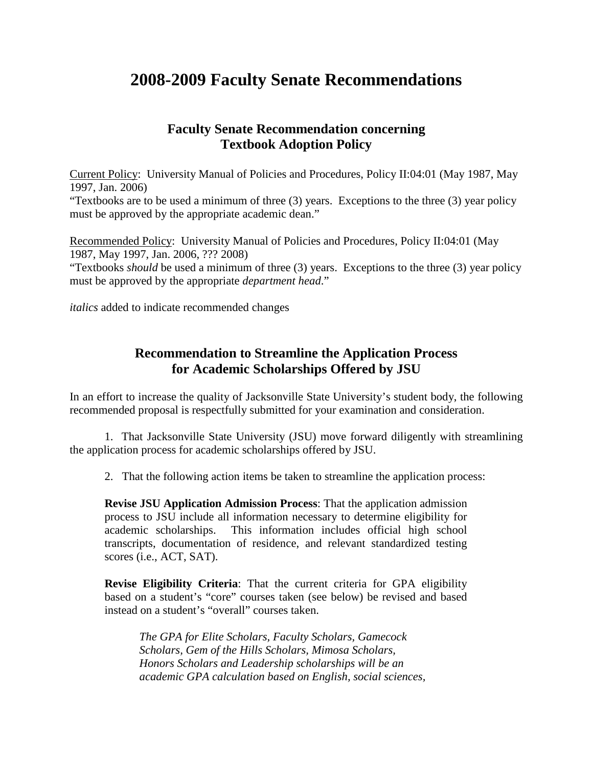## **2008-2009 Faculty Senate Recommendations**

## **Faculty Senate Recommendation concerning Textbook Adoption Policy**

Current Policy: University Manual of Policies and Procedures, Policy II:04:01 (May 1987, May 1997, Jan. 2006)

"Textbooks are to be used a minimum of three (3) years. Exceptions to the three (3) year policy must be approved by the appropriate academic dean."

Recommended Policy: University Manual of Policies and Procedures, Policy II:04:01 (May 1987, May 1997, Jan. 2006, ??? 2008) "Textbooks *should* be used a minimum of three (3) years. Exceptions to the three (3) year policy

*italics* added to indicate recommended changes

must be approved by the appropriate *department head*."

## **Recommendation to Streamline the Application Process for Academic Scholarships Offered by JSU**

In an effort to increase the quality of Jacksonville State University's student body, the following recommended proposal is respectfully submitted for your examination and consideration.

1. That Jacksonville State University (JSU) move forward diligently with streamlining the application process for academic scholarships offered by JSU.

2. That the following action items be taken to streamline the application process:

**Revise JSU Application Admission Process**: That the application admission process to JSU include all information necessary to determine eligibility for academic scholarships. This information includes official high school transcripts, documentation of residence, and relevant standardized testing scores (i.e., ACT, SAT).

**Revise Eligibility Criteria**: That the current criteria for GPA eligibility based on a student's "core" courses taken (see below) be revised and based instead on a student's "overall" courses taken.

*The GPA for Elite Scholars, Faculty Scholars, Gamecock Scholars, Gem of the Hills Scholars, Mimosa Scholars, Honors Scholars and Leadership scholarships will be an academic GPA calculation based on English, social sciences,*